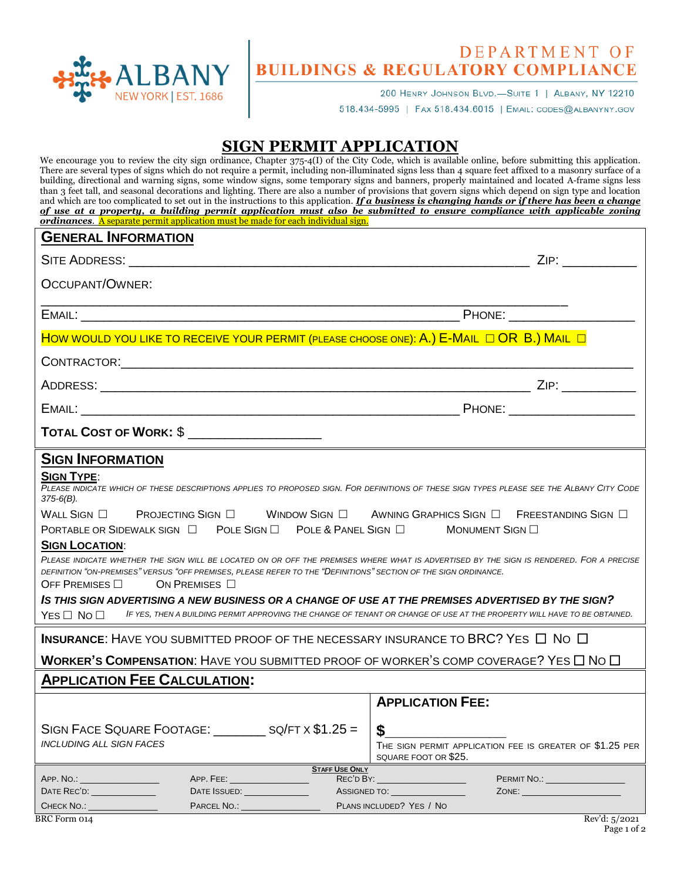

## DEPARTMENT OF **BUILDINGS & REGULATORY COMPLIANCE**

200 HENRY JOHNSON BLVD.-SUITE 1 | ALBANY, NY 12210 518.434-5995 | FAX 518.434.6015 | EMAIL: CODES@ALBANYNY.GOV

## **SIGN PERMIT APPLICATION**

| We encourage you to review the city sign ordinance, Chapter $375-4(I)$ of the City Code, which is available online, before submitting this application.<br>There are several types of signs which do not require a permit, including non-illuminated signs less than 4 square feet affixed to a masonry surface of a<br>building, directional and warning signs, some window signs, some temporary signs and banners, properly maintained and located A-frame signs less<br>than 3 feet tall, and seasonal decorations and lighting. There are also a number of provisions that govern signs which depend on sign type and location<br>and which are too complicated to set out in the instructions to this application. If $\hat{a}$ business is changing hands or if there has been a change<br>of use at a property, a building permit application must also be submitted to ensure compliance with applicable zoning |                                                                                                                                             |  |
|--------------------------------------------------------------------------------------------------------------------------------------------------------------------------------------------------------------------------------------------------------------------------------------------------------------------------------------------------------------------------------------------------------------------------------------------------------------------------------------------------------------------------------------------------------------------------------------------------------------------------------------------------------------------------------------------------------------------------------------------------------------------------------------------------------------------------------------------------------------------------------------------------------------------------|---------------------------------------------------------------------------------------------------------------------------------------------|--|
| ordinances. A separate permit application must be made for each individual sign.<br><b>GENERAL INFORMATION</b>                                                                                                                                                                                                                                                                                                                                                                                                                                                                                                                                                                                                                                                                                                                                                                                                           |                                                                                                                                             |  |
|                                                                                                                                                                                                                                                                                                                                                                                                                                                                                                                                                                                                                                                                                                                                                                                                                                                                                                                          |                                                                                                                                             |  |
| OCCUPANT/OWNER:                                                                                                                                                                                                                                                                                                                                                                                                                                                                                                                                                                                                                                                                                                                                                                                                                                                                                                          |                                                                                                                                             |  |
|                                                                                                                                                                                                                                                                                                                                                                                                                                                                                                                                                                                                                                                                                                                                                                                                                                                                                                                          |                                                                                                                                             |  |
|                                                                                                                                                                                                                                                                                                                                                                                                                                                                                                                                                                                                                                                                                                                                                                                                                                                                                                                          |                                                                                                                                             |  |
| HOW WOULD YOU LIKE TO RECEIVE YOUR PERMIT (PLEASE CHOOSE ONE): A.) E-MAIL $\Box$ OR B.) MAIL $\Box$                                                                                                                                                                                                                                                                                                                                                                                                                                                                                                                                                                                                                                                                                                                                                                                                                      |                                                                                                                                             |  |
|                                                                                                                                                                                                                                                                                                                                                                                                                                                                                                                                                                                                                                                                                                                                                                                                                                                                                                                          |                                                                                                                                             |  |
|                                                                                                                                                                                                                                                                                                                                                                                                                                                                                                                                                                                                                                                                                                                                                                                                                                                                                                                          |                                                                                                                                             |  |
|                                                                                                                                                                                                                                                                                                                                                                                                                                                                                                                                                                                                                                                                                                                                                                                                                                                                                                                          |                                                                                                                                             |  |
| <b>TOTAL COST OF WORK: \$</b>                                                                                                                                                                                                                                                                                                                                                                                                                                                                                                                                                                                                                                                                                                                                                                                                                                                                                            |                                                                                                                                             |  |
| <b>SIGN INFORMATION</b><br><b>SIGN TYPE:</b><br>PLEASE INDICATE WHICH OF THESE DESCRIPTIONS APPLIES TO PROPOSED SIGN. FOR DEFINITIONS OF THESE SIGN TYPES PLEASE SEE THE ALBANY CITY CODE<br>$375-6(B)$ .<br>WALL SIGN $\square$ PROJECTING SIGN $\square$ WINDOW SIGN $\square$ AWNING GRAPHICS SIGN $\square$ FREESTANDING SIGN $\square$<br>PORTABLE OR SIDEWALK SIGN □ POLE SIGN □ POLE & PANEL SIGN □<br><b>SIGN LOCATION:</b><br>PLEASE INDICATE WHETHER THE SIGN WILL BE LOCATED ON OR OFF THE PREMISES WHERE WHAT IS ADVERTISED BY THE SIGN IS RENDERED. FOR A PRECISE<br>DEFINITION "ON-PREMISES" VERSUS "OFF PREMISES, PLEASE REFER TO THE "DEFINITIONS" SECTION OF THE SIGN ORDINANCE.<br>OFF PREMISES $\Box$<br>ON PREMISES $\Box$<br>IS THIS SIGN ADVERTISING A NEW BUSINESS OR A CHANGE OF USE AT THE PREMISES ADVERTISED BY THE SIGN?<br>$Yes \Box No \Box$                                               | MONUMENT SIGN O<br>IF YES. THEN A BUILDING PERMIT APPROVING THE CHANGE OF TENANT OR CHANGE OF USE AT THE PROPERTY WILL HAVE TO BE OBTAINED. |  |
| <b>INSURANCE:</b> HAVE YOU SUBMITTED PROOF OF THE NECESSARY INSURANCE TO BRC? YES $\Box$ No $\Box$                                                                                                                                                                                                                                                                                                                                                                                                                                                                                                                                                                                                                                                                                                                                                                                                                       |                                                                                                                                             |  |
| <b>WORKER'S COMPENSATION:</b> HAVE YOU SUBMITTED PROOF OF WORKER'S COMP COVERAGE? YES $\Box$ No $\Box$                                                                                                                                                                                                                                                                                                                                                                                                                                                                                                                                                                                                                                                                                                                                                                                                                   |                                                                                                                                             |  |
| <b>APPLICATION FEE CALCULATION:</b>                                                                                                                                                                                                                                                                                                                                                                                                                                                                                                                                                                                                                                                                                                                                                                                                                                                                                      |                                                                                                                                             |  |
| SIGN FACE SQUARE FOOTAGE: SQ/FT X \$1.25 =<br><b>INCLUDING ALL SIGN FACES</b><br><b>STAFF USE ONLY</b>                                                                                                                                                                                                                                                                                                                                                                                                                                                                                                                                                                                                                                                                                                                                                                                                                   | <b>APPLICATION FEE:</b><br>\$<br>THE SIGN PERMIT APPLICATION FEE IS GREATER OF \$1.25 PER<br>SQUARE FOOT OR \$25.                           |  |
| APP. NO.: ___________________<br>DATE REC'D: _______________<br>DATE ISSUED: ______________                                                                                                                                                                                                                                                                                                                                                                                                                                                                                                                                                                                                                                                                                                                                                                                                                              | PERMIT NO.: University PERMIT NO.:<br>ASSIGNED TO: _________________                                                                        |  |
| CHECK NO.:<br>PARCEL NO.:                                                                                                                                                                                                                                                                                                                                                                                                                                                                                                                                                                                                                                                                                                                                                                                                                                                                                                | PLANS INCLUDED? YES / NO                                                                                                                    |  |
| <b>BRC</b> Form 014                                                                                                                                                                                                                                                                                                                                                                                                                                                                                                                                                                                                                                                                                                                                                                                                                                                                                                      | Rev'd: 5/2021                                                                                                                               |  |